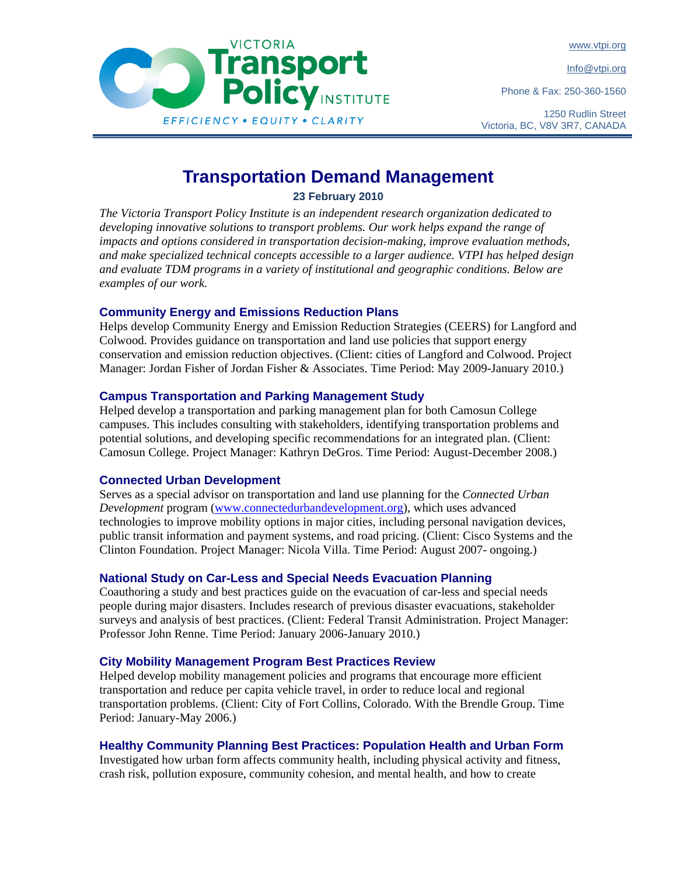www.vtpi.org

Info@vtpi.org

Phone & Fax: 250-360-1560



# **Transport**<br>**Policy INSTITUTE** EFFICIENCY . EQUITY . CLARITY

# **Transportation Demand Management**

**23 February 2010** 

*The Victoria Transport Policy Institute is an independent research organization dedicated to developing innovative solutions to transport problems. Our work helps expand the range of impacts and options considered in transportation decision-making, improve evaluation methods, and make specialized technical concepts accessible to a larger audience. VTPI has helped design and evaluate TDM programs in a variety of institutional and geographic conditions. Below are examples of our work.* 

# **Community Energy and Emissions Reduction Plans**

Helps develop Community Energy and Emission Reduction Strategies (CEERS) for Langford and Colwood. Provides guidance on transportation and land use policies that support energy conservation and emission reduction objectives. (Client: cities of Langford and Colwood. Project Manager: Jordan Fisher of Jordan Fisher & Associates. Time Period: May 2009-January 2010.)

## **Campus Transportation and Parking Management Study**

Helped develop a transportation and parking management plan for both Camosun College campuses. This includes consulting with stakeholders, identifying transportation problems and potential solutions, and developing specific recommendations for an integrated plan. (Client: Camosun College. Project Manager: Kathryn DeGros. Time Period: August-December 2008.)

#### **Connected Urban Development**

Serves as a special advisor on transportation and land use planning for the *Connected Urban Development* program (www.connectedurbandevelopment.org), which uses advanced technologies to improve mobility options in major cities, including personal navigation devices, public transit information and payment systems, and road pricing. (Client: Cisco Systems and the Clinton Foundation. Project Manager: Nicola Villa. Time Period: August 2007- ongoing.)

# **National Study on Car-Less and Special Needs Evacuation Planning**

Coauthoring a study and best practices guide on the evacuation of car-less and special needs people during major disasters. Includes research of previous disaster evacuations, stakeholder surveys and analysis of best practices. (Client: Federal Transit Administration. Project Manager: Professor John Renne. Time Period: January 2006-January 2010.)

#### **City Mobility Management Program Best Practices Review**

Helped develop mobility management policies and programs that encourage more efficient transportation and reduce per capita vehicle travel, in order to reduce local and regional transportation problems. (Client: City of Fort Collins, Colorado. With the Brendle Group. Time Period: January-May 2006.)

# **Healthy Community Planning Best Practices: Population Health and Urban Form**

Investigated how urban form affects community health, including physical activity and fitness, crash risk, pollution exposure, community cohesion, and mental health, and how to create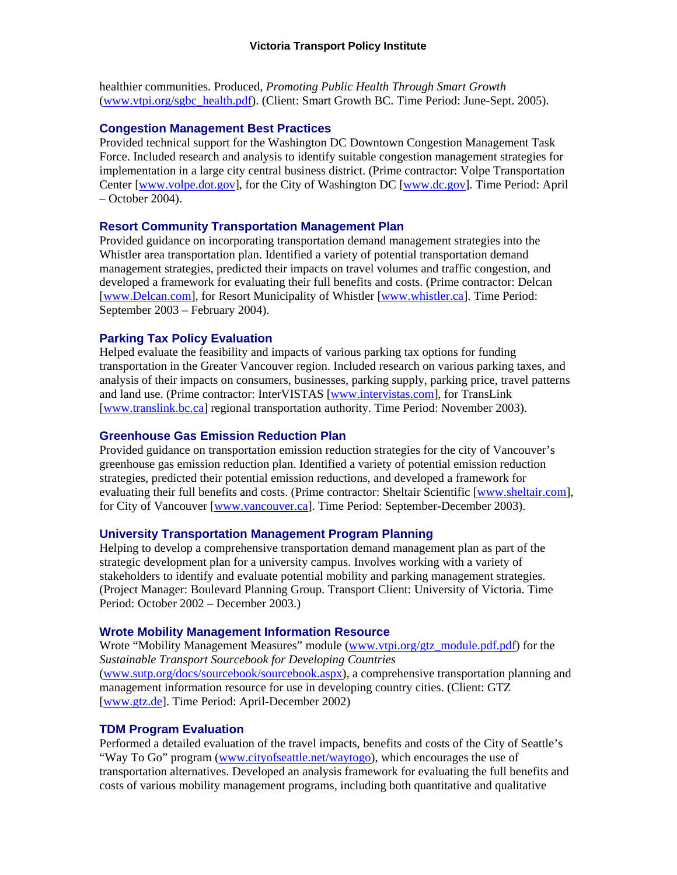healthier communities. Produced, *Promoting Public Health Through Smart Growth* (www.vtpi.org/sgbc\_health.pdf). (Client: Smart Growth BC. Time Period: June-Sept. 2005).

#### **Congestion Management Best Practices**

Provided technical support for the Washington DC Downtown Congestion Management Task Force. Included research and analysis to identify suitable congestion management strategies for implementation in a large city central business district. (Prime contractor: Volpe Transportation Center [www.volpe.dot.gov], for the City of Washington DC [www.dc.gov]. Time Period: April – October 2004).

## **Resort Community Transportation Management Plan**

Provided guidance on incorporating transportation demand management strategies into the Whistler area transportation plan. Identified a variety of potential transportation demand management strategies, predicted their impacts on travel volumes and traffic congestion, and developed a framework for evaluating their full benefits and costs. (Prime contractor: Delcan [www.Delcan.com], for Resort Municipality of Whistler [www.whistler.ca]. Time Period: September 2003 – February 2004).

# **Parking Tax Policy Evaluation**

Helped evaluate the feasibility and impacts of various parking tax options for funding transportation in the Greater Vancouver region. Included research on various parking taxes, and analysis of their impacts on consumers, businesses, parking supply, parking price, travel patterns and land use. (Prime contractor: InterVISTAS [www.intervistas.com], for TransLink [www.translink.bc.ca] regional transportation authority. Time Period: November 2003).

#### **Greenhouse Gas Emission Reduction Plan**

Provided guidance on transportation emission reduction strategies for the city of Vancouver's greenhouse gas emission reduction plan. Identified a variety of potential emission reduction strategies, predicted their potential emission reductions, and developed a framework for evaluating their full benefits and costs. (Prime contractor: Sheltair Scientific [www.sheltair.com], for City of Vancouver [www.vancouver.ca]. Time Period: September-December 2003).

#### **University Transportation Management Program Planning**

Helping to develop a comprehensive transportation demand management plan as part of the strategic development plan for a university campus. Involves working with a variety of stakeholders to identify and evaluate potential mobility and parking management strategies. (Project Manager: Boulevard Planning Group. Transport Client: University of Victoria. Time Period: October 2002 – December 2003.)

#### **Wrote Mobility Management Information Resource**

Wrote "Mobility Management Measures" module (www.vtpi.org/gtz\_module.pdf.pdf) for the *Sustainable Transport Sourcebook for Developing Countries* (www.sutp.org/docs/sourcebook/sourcebook.aspx), a comprehensive transportation planning and management information resource for use in developing country cities. (Client: GTZ [www.gtz.de]. Time Period: April-December 2002)

#### **TDM Program Evaluation**

Performed a detailed evaluation of the travel impacts, benefits and costs of the City of Seattle's "Way To Go" program (www.cityofseattle.net/waytogo), which encourages the use of transportation alternatives. Developed an analysis framework for evaluating the full benefits and costs of various mobility management programs, including both quantitative and qualitative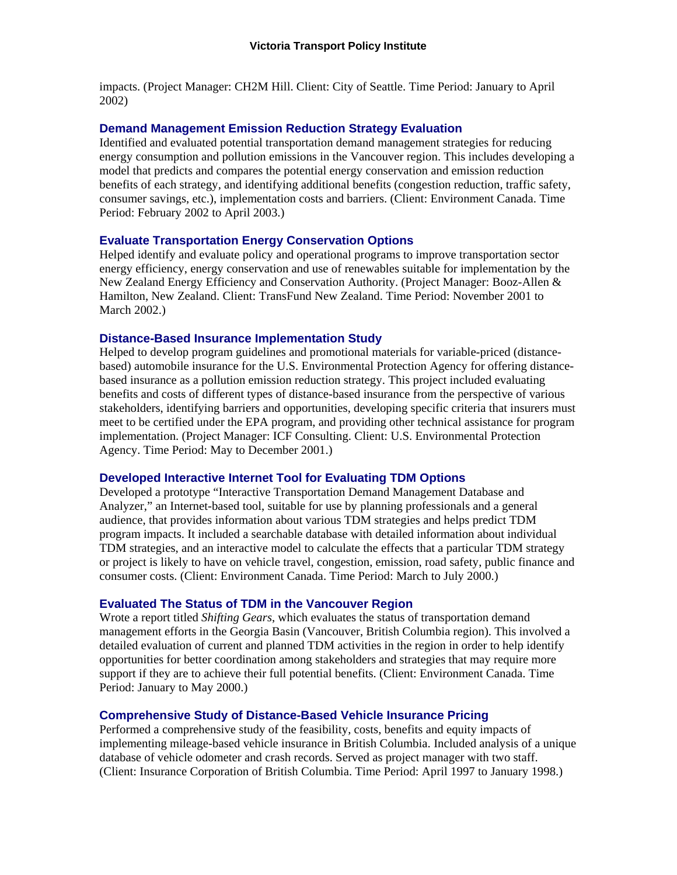impacts. (Project Manager: CH2M Hill. Client: City of Seattle. Time Period: January to April 2002)

## **Demand Management Emission Reduction Strategy Evaluation**

Identified and evaluated potential transportation demand management strategies for reducing energy consumption and pollution emissions in the Vancouver region. This includes developing a model that predicts and compares the potential energy conservation and emission reduction benefits of each strategy, and identifying additional benefits (congestion reduction, traffic safety, consumer savings, etc.), implementation costs and barriers. (Client: Environment Canada. Time Period: February 2002 to April 2003.)

# **Evaluate Transportation Energy Conservation Options**

Helped identify and evaluate policy and operational programs to improve transportation sector energy efficiency, energy conservation and use of renewables suitable for implementation by the New Zealand Energy Efficiency and Conservation Authority. (Project Manager: Booz-Allen & Hamilton, New Zealand. Client: TransFund New Zealand. Time Period: November 2001 to March 2002.)

#### **Distance-Based Insurance Implementation Study**

Helped to develop program guidelines and promotional materials for variable-priced (distancebased) automobile insurance for the U.S. Environmental Protection Agency for offering distancebased insurance as a pollution emission reduction strategy. This project included evaluating benefits and costs of different types of distance-based insurance from the perspective of various stakeholders, identifying barriers and opportunities, developing specific criteria that insurers must meet to be certified under the EPA program, and providing other technical assistance for program implementation. (Project Manager: ICF Consulting. Client: U.S. Environmental Protection Agency. Time Period: May to December 2001.)

#### **Developed Interactive Internet Tool for Evaluating TDM Options**

Developed a prototype "Interactive Transportation Demand Management Database and Analyzer," an Internet-based tool, suitable for use by planning professionals and a general audience, that provides information about various TDM strategies and helps predict TDM program impacts. It included a searchable database with detailed information about individual TDM strategies, and an interactive model to calculate the effects that a particular TDM strategy or project is likely to have on vehicle travel, congestion, emission, road safety, public finance and consumer costs. (Client: Environment Canada. Time Period: March to July 2000.)

# **Evaluated The Status of TDM in the Vancouver Region**

Wrote a report titled *Shifting Gears*, which evaluates the status of transportation demand management efforts in the Georgia Basin (Vancouver, British Columbia region). This involved a detailed evaluation of current and planned TDM activities in the region in order to help identify opportunities for better coordination among stakeholders and strategies that may require more support if they are to achieve their full potential benefits. (Client: Environment Canada. Time Period: January to May 2000.)

#### **Comprehensive Study of Distance-Based Vehicle Insurance Pricing**

Performed a comprehensive study of the feasibility, costs, benefits and equity impacts of implementing mileage-based vehicle insurance in British Columbia. Included analysis of a unique database of vehicle odometer and crash records. Served as project manager with two staff. (Client: Insurance Corporation of British Columbia. Time Period: April 1997 to January 1998.)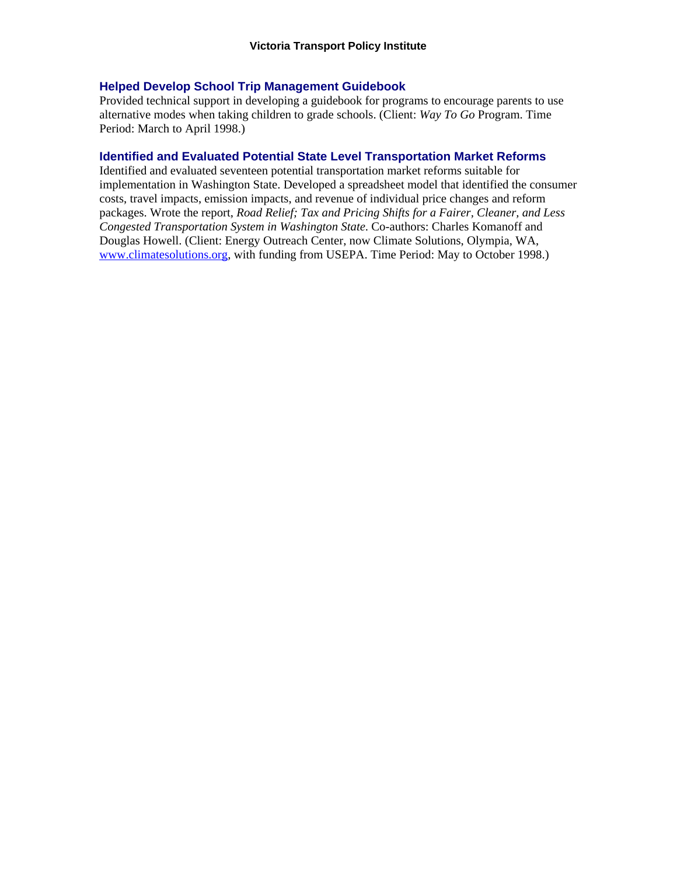#### **Helped Develop School Trip Management Guidebook**

Provided technical support in developing a guidebook for programs to encourage parents to use alternative modes when taking children to grade schools. (Client: *Way To Go* Program. Time Period: March to April 1998.)

#### **Identified and Evaluated Potential State Level Transportation Market Reforms**

Identified and evaluated seventeen potential transportation market reforms suitable for implementation in Washington State. Developed a spreadsheet model that identified the consumer costs, travel impacts, emission impacts, and revenue of individual price changes and reform packages. Wrote the report, *Road Relief; Tax and Pricing Shifts for a Fairer, Cleaner, and Less Congested Transportation System in Washington State*. Co-authors: Charles Komanoff and Douglas Howell. (Client: Energy Outreach Center, now Climate Solutions, Olympia, WA, www.climatesolutions.org, with funding from USEPA. Time Period: May to October 1998.)